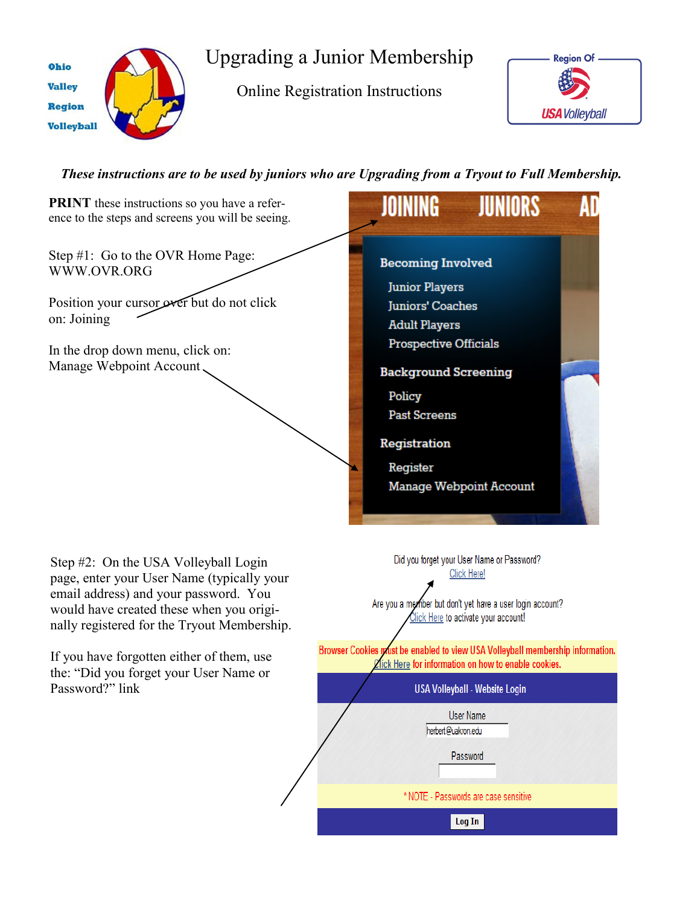

Upgrading a Junior Membership

Online Registration Instructions



*These instructions are to be used by juniors who are Upgrading from a Tryout to Full Membership.*

**PRINT** these instructions so you have a refer-AD ence to the steps and screens you will be seeing. Step #1: Go to the OVR Home Page: **Becoming Involved** WWW.OVR.ORG **Junior Players** Position your cursor over but do not click **Juniors' Coaches** on: Joining **Adult Players Prospective Officials** In the drop down menu, click on: Manage Webpoint Account **Background Screening** Policy **Past Screens** Registration Register Manage Webpoint Account Did you forget your User Name or Password? Step #2: On the USA Volleyball Login Click Here! page, enter your User Name (typically your email address) and your password. You Are you a member but don't yet have a user login account? would have created these when you origi-Click Here to activate your account! nally registered for the Tryout Membership. Browser Cookies must be enabled to view USA Volleyball membership information. If you have forgotten either of them, use **Zick Here for information on how to enable cookies.** the: "Did you forget your User Name or Password?" link**USA Volleyball - Website Login User Name** herbert@uakron.edu

Password

\* NOTE - Passwords are case sensitive

Log In